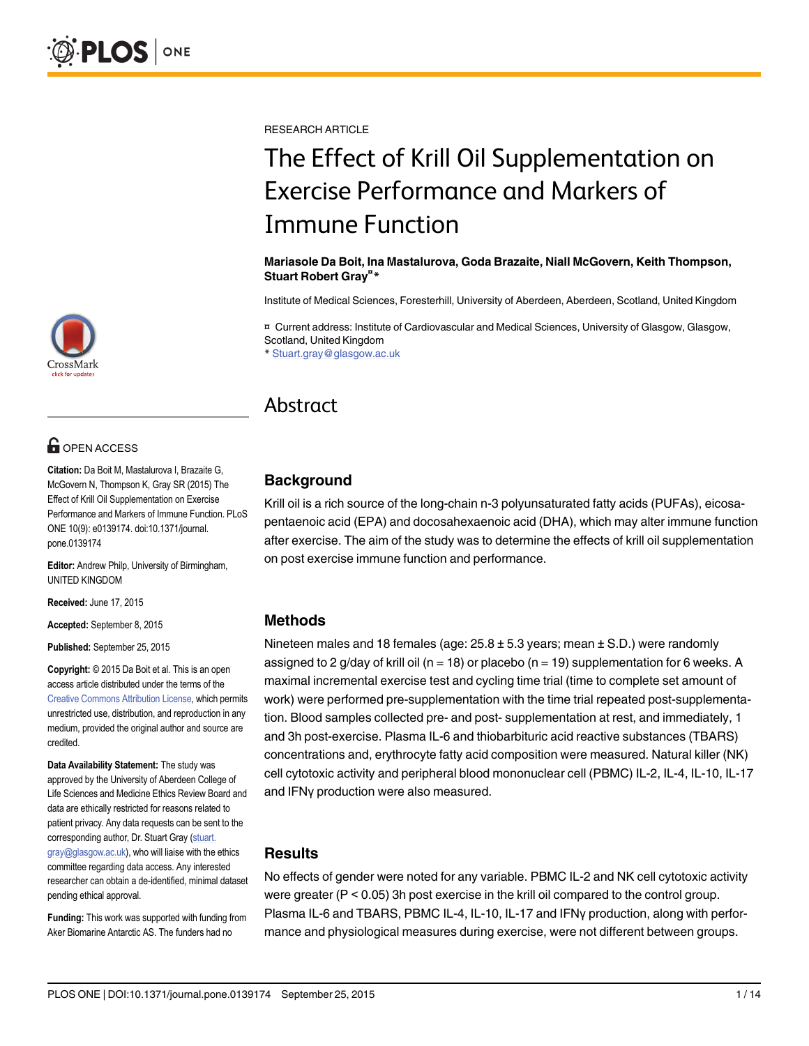RESEARCH ARTICLE

# The Effect of Krill Oil Supplementation on Exercise Performance and Markers of Immune Function

#### Mariasole Da Boit, Ina Mastalurova, Goda Brazaite, Niall McGovern, Keith Thompson, Stuart Robert Gray<sup>¤\*</sup>

Institute of Medical Sciences, Foresterhill, University of Aberdeen, Aberdeen, Scotland, United Kingdom

¤ Current address: Institute of Cardiovascular and Medical Sciences, University of Glasgow, Glasgow, Scotland, United Kingdom

\* Stuart.gray@glasgow.ac.uk

# Abstract

#### **Background**

Krill oil is a rich source of the long-chain n-3 polyunsaturated fatty acids (PUFAs), eicosapentaenoic acid (EPA) and docosahexaenoic acid (DHA), which may alter immune function after exercise. The aim of the study was to determine the effects of krill oil supplementation on post exercise immune function and performance.

#### Methods

Nineteen males and 18 females (age:  $25.8 \pm 5.3$  years; mean  $\pm$  S.D.) were randomly assigned to 2 g/day of krill oil ( $n = 18$ ) or placebo ( $n = 19$ ) supplementation for 6 weeks. A maximal incremental exercise test and cycling time trial (time to complete set amount of work) were performed pre-supplementation with the time trial repeated post-supplementation. Blood samples collected pre- and post- supplementation at rest, and immediately, 1 and 3h post-exercise. Plasma IL-6 and thiobarbituric acid reactive substances (TBARS) concentrations and, erythrocyte fatty acid composition were measured. Natural killer (NK) cell cytotoxic activity and peripheral blood mononuclear cell (PBMC) IL-2, IL-4, IL-10, IL-17 and IFNγ production were also measured.

#### Results

No effects of gender were noted for any variable. PBMC IL-2 and NK cell cytotoxic activity were greater (P < 0.05) 3h post exercise in the krill oil compared to the control group. Plasma IL-6 and TBARS, PBMC IL-4, IL-10, IL-17 and IFNγ production, along with performance and physiological measures during exercise, were not different between groups.



# **G** OPEN ACCESS

Citation: Da Boit M, Mastalurova I, Brazaite G, McGovern N, Thompson K, Gray SR (2015) The Effect of Krill Oil Supplementation on Exercise Performance and Markers of Immune Function. PLoS ONE 10(9): e0139174. doi:10.1371/journal. pone.0139174

Editor: Andrew Philp, University of Birmingham, UNITED KINGDOM

Received: June 17, 2015

Accepted: September 8, 2015

Published: September 25, 2015

Copyright: © 2015 Da Boit et al. This is an open access article distributed under the terms of the [Creative Commons Attribution License,](http://creativecommons.org/licenses/by/4.0/) which permits unrestricted use, distribution, and reproduction in any medium, provided the original author and source are credited.

Data Availability Statement: The study was approved by the University of Aberdeen College of Life Sciences and Medicine Ethics Review Board and data are ethically restricted for reasons related to patient privacy. Any data requests can be sent to the corresponding author, Dr. Stuart Gray (stuart. gray@glasgow.ac.uk), who will liaise with the ethics committee regarding data access. Any interested researcher can obtain a de-identified, minimal dataset pending ethical approval.

Funding: This work was supported with funding from Aker Biomarine Antarctic AS. The funders had no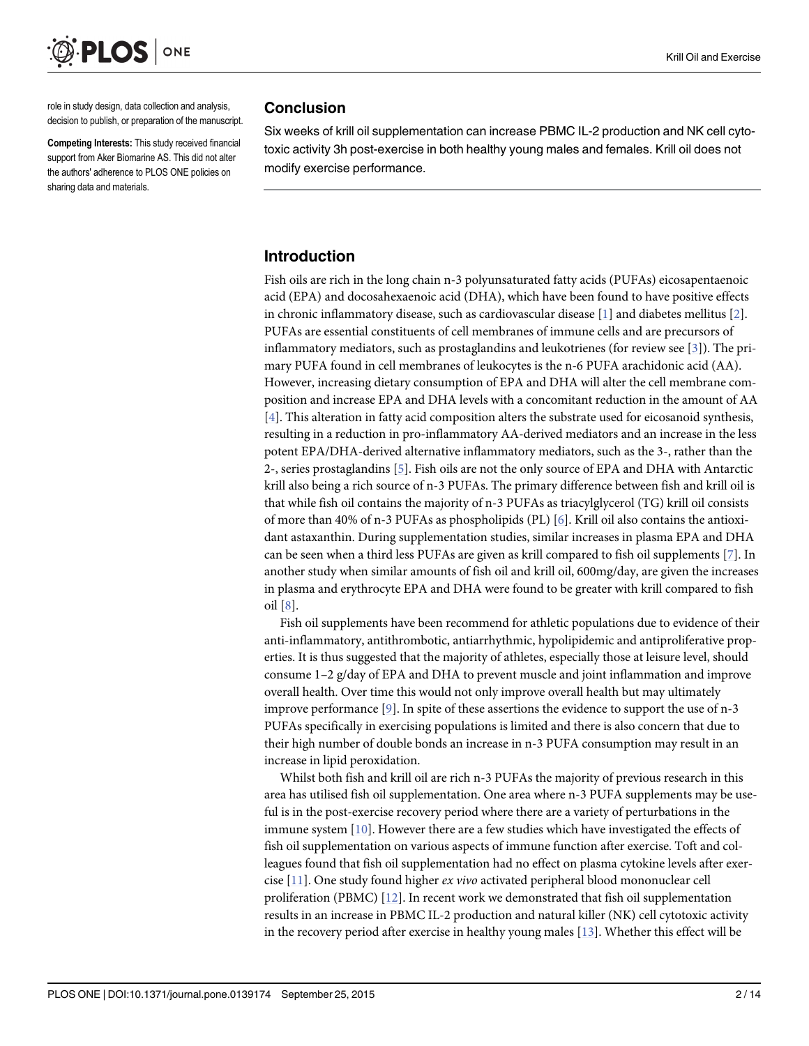<span id="page-1-0"></span>

role in study design, data collection and analysis, decision to publish, or preparation of the manuscript.

Competing Interests: This study received financial support from Aker Biomarine AS. This did not alter the authors' adherence to PLOS ONE policies on sharing data and materials.

#### **Conclusion**

Six weeks of krill oil supplementation can increase PBMC IL-2 production and NK cell cytotoxic activity 3h post-exercise in both healthy young males and females. Krill oil does not modify exercise performance.

#### Introduction

Fish oils are rich in the long chain n-3 polyunsaturated fatty acids (PUFAs) eicosapentaenoic acid (EPA) and docosahexaenoic acid (DHA), which have been found to have positive effects in chronic inflammatory disease, such as cardiovascular disease [[1\]](#page-11-0) and diabetes mellitus [\[2](#page-11-0)]. PUFAs are essential constituents of cell membranes of immune cells and are precursors of inflammatory mediators, such as prostaglandins and leukotrienes (for review see [[3\]](#page-11-0)). The primary PUFA found in cell membranes of leukocytes is the n-6 PUFA arachidonic acid (AA). However, increasing dietary consumption of EPA and DHA will alter the cell membrane composition and increase EPA and DHA levels with a concomitant reduction in the amount of AA [\[4](#page-11-0)]. This alteration in fatty acid composition alters the substrate used for eicosanoid synthesis, resulting in a reduction in pro-inflammatory AA-derived mediators and an increase in the less potent EPA/DHA-derived alternative inflammatory mediators, such as the 3-, rather than the 2-, series prostaglandins  $[5]$ . Fish oils are not the only source of EPA and DHA with Antarctic krill also being a rich source of n-3 PUFAs. The primary difference between fish and krill oil is that while fish oil contains the majority of n-3 PUFAs as triacylglycerol (TG) krill oil consists of more than 40% of n-3 PUFAs as phospholipids (PL)  $[6]$  $[6]$ . Krill oil also contains the antioxidant astaxanthin. During supplementation studies, similar increases in plasma EPA and DHA can be seen when a third less PUFAs are given as krill compared to fish oil supplements [[7](#page-11-0)]. In another study when similar amounts of fish oil and krill oil, 600mg/day, are given the increases in plasma and erythrocyte EPA and DHA were found to be greater with krill compared to fish oil [[8\]](#page-11-0).

Fish oil supplements have been recommend for athletic populations due to evidence of their anti-inflammatory, antithrombotic, antiarrhythmic, hypolipidemic and antiproliferative properties. It is thus suggested that the majority of athletes, especially those at leisure level, should consume 1–2 g/day of EPA and DHA to prevent muscle and joint inflammation and improve overall health. Over time this would not only improve overall health but may ultimately improve performance  $[9]$ . In spite of these assertions the evidence to support the use of n-3 PUFAs specifically in exercising populations is limited and there is also concern that due to their high number of double bonds an increase in n-3 PUFA consumption may result in an increase in lipid peroxidation.

Whilst both fish and krill oil are rich n-3 PUFAs the majority of previous research in this area has utilised fish oil supplementation. One area where n-3 PUFA supplements may be useful is in the post-exercise recovery period where there are a variety of perturbations in the immune system  $[10]$  $[10]$  $[10]$ . However there are a few studies which have investigated the effects of fish oil supplementation on various aspects of immune function after exercise. Toft and colleagues found that fish oil supplementation had no effect on plasma cytokine levels after exercise  $[11]$ . One study found higher *ex vivo* activated peripheral blood mononuclear cell proliferation (PBMC) [[12](#page-11-0)]. In recent work we demonstrated that fish oil supplementation results in an increase in PBMC IL-2 production and natural killer (NK) cell cytotoxic activity in the recovery period after exercise in healthy young males  $[13]$ . Whether this effect will be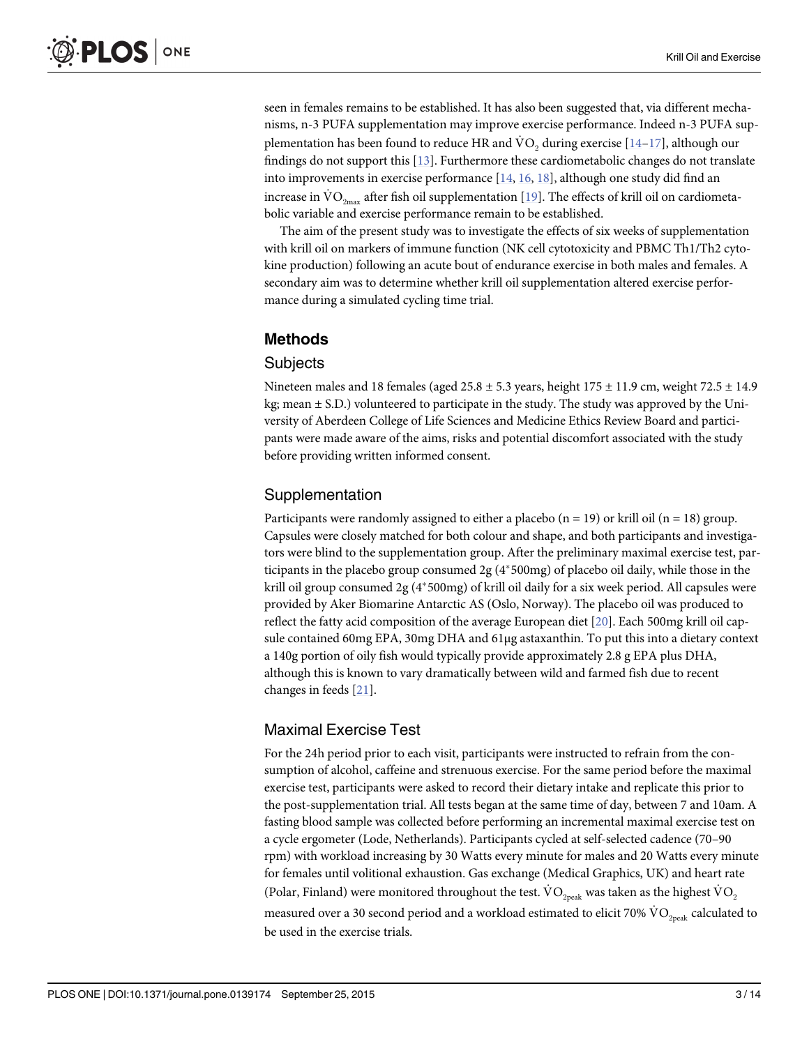<span id="page-2-0"></span>seen in females remains to be established. It has also been suggested that, via different mechanisms, n-3 PUFA supplementation may improve exercise performance. Indeed n-3 PUFA supplementation has been found to reduce HR and  $\rm VO_2$  during exercise [\[14](#page-12-0)–[17\]](#page-12-0), although our findings do not support this [[13](#page-11-0)]. Furthermore these cardiometabolic changes do not translate into improvements in exercise performance  $[14, 16, 18]$  $[14, 16, 18]$  $[14, 16, 18]$  $[14, 16, 18]$  $[14, 16, 18]$  $[14, 16, 18]$ , although one study did find an increase in  $\rm{VO}_{2max}$  after fish oil supplementation [\[19](#page-12-0)]. The effects of krill oil on cardiometabolic variable and exercise performance remain to be established.

The aim of the present study was to investigate the effects of six weeks of supplementation with krill oil on markers of immune function (NK cell cytotoxicity and PBMC Th1/Th2 cytokine production) following an acute bout of endurance exercise in both males and females. A secondary aim was to determine whether krill oil supplementation altered exercise performance during a simulated cycling time trial.

# Methods

# **Subjects**

Nineteen males and 18 females (aged 25.8  $\pm$  5.3 years, height 175  $\pm$  11.9 cm, weight 72.5  $\pm$  14.9 kg; mean  $\pm$  S.D.) volunteered to participate in the study. The study was approved by the University of Aberdeen College of Life Sciences and Medicine Ethics Review Board and participants were made aware of the aims, risks and potential discomfort associated with the study before providing written informed consent.

#### Supplementation

Participants were randomly assigned to either a placebo ( $n = 19$ ) or krill oil ( $n = 18$ ) group. Capsules were closely matched for both colour and shape, and both participants and investigators were blind to the supplementation group. After the preliminary maximal exercise test, participants in the placebo group consumed  $2g(4*500mg)$  of placebo oil daily, while those in the krill oil group consumed 2g ( $4*500$ mg) of krill oil daily for a six week period. All capsules were provided by Aker Biomarine Antarctic AS (Oslo, Norway). The placebo oil was produced to reflect the fatty acid composition of the average European diet [[20](#page-12-0)]. Each 500mg krill oil capsule contained 60mg EPA, 30mg DHA and 61μg astaxanthin. To put this into a dietary context a 140g portion of oily fish would typically provide approximately 2.8 g EPA plus DHA, although this is known to vary dramatically between wild and farmed fish due to recent changes in feeds [[21](#page-12-0)].

#### Maximal Exercise Test

For the 24h period prior to each visit, participants were instructed to refrain from the consumption of alcohol, caffeine and strenuous exercise. For the same period before the maximal exercise test, participants were asked to record their dietary intake and replicate this prior to the post-supplementation trial. All tests began at the same time of day, between 7 and 10am. A fasting blood sample was collected before performing an incremental maximal exercise test on a cycle ergometer (Lode, Netherlands). Participants cycled at self-selected cadence (70–90 rpm) with workload increasing by 30 Watts every minute for males and 20 Watts every minute for females until volitional exhaustion. Gas exchange (Medical Graphics, UK) and heart rate (Polar, Finland) were monitored throughout the test.  $\rm \dot{VO}_{2peak}$  was taken as the highest  $\rm \dot{VO}_{2}$ measured over a 30 second period and a workload estimated to elicit 70%  $\rm \dot{VO}_{2peak}$  calculated to be used in the exercise trials.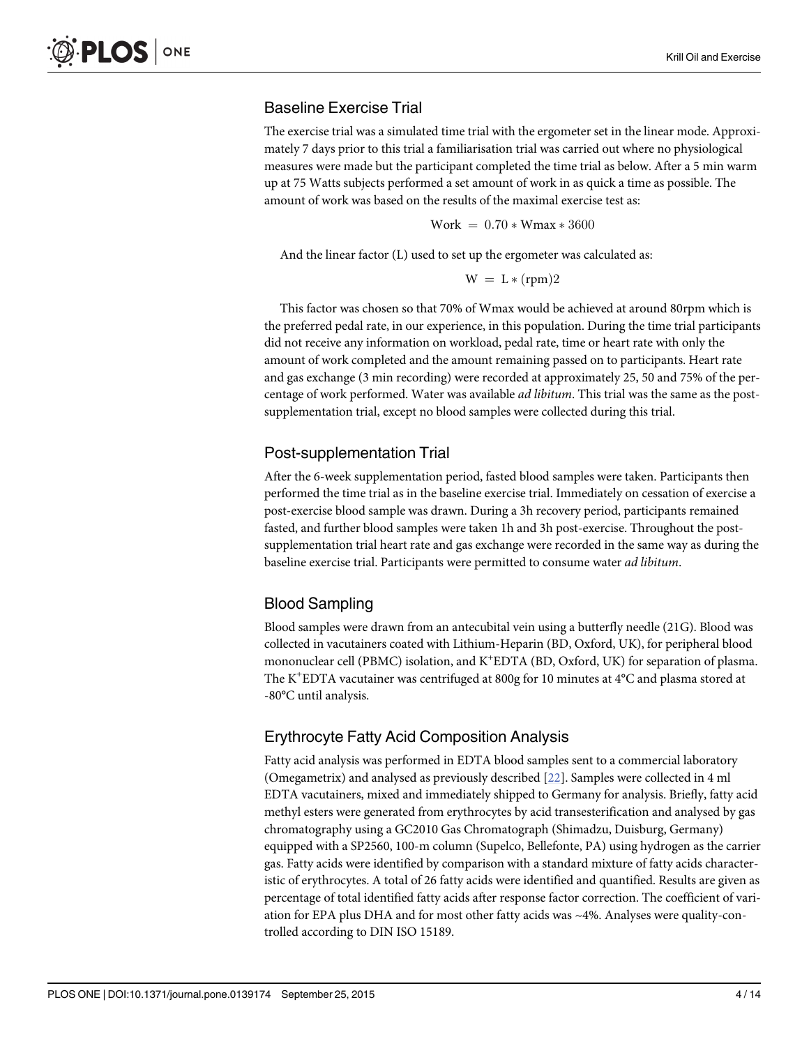# <span id="page-3-0"></span>Baseline Exercise Trial

The exercise trial was a simulated time trial with the ergometer set in the linear mode. Approximately 7 days prior to this trial a familiarisation trial was carried out where no physiological measures were made but the participant completed the time trial as below. After a 5 min warm up at 75 Watts subjects performed a set amount of work in as quick a time as possible. The amount of work was based on the results of the maximal exercise test as:

$$
Work = 0.70 * Wmax * 3600
$$

And the linear factor (L) used to set up the ergometer was calculated as:

$$
W = L * (rpm)2
$$

This factor was chosen so that 70% of Wmax would be achieved at around 80rpm which is the preferred pedal rate, in our experience, in this population. During the time trial participants did not receive any information on workload, pedal rate, time or heart rate with only the amount of work completed and the amount remaining passed on to participants. Heart rate and gas exchange (3 min recording) were recorded at approximately 25, 50 and 75% of the percentage of work performed. Water was available *ad libitum*. This trial was the same as the postsupplementation trial, except no blood samples were collected during this trial.

#### Post-supplementation Trial

After the 6-week supplementation period, fasted blood samples were taken. Participants then performed the time trial as in the baseline exercise trial. Immediately on cessation of exercise a post-exercise blood sample was drawn. During a 3h recovery period, participants remained fasted, and further blood samples were taken 1h and 3h post-exercise. Throughout the postsupplementation trial heart rate and gas exchange were recorded in the same way as during the baseline exercise trial. Participants were permitted to consume water ad libitum.

# Blood Sampling

Blood samples were drawn from an antecubital vein using a butterfly needle (21G). Blood was collected in vacutainers coated with Lithium-Heparin (BD, Oxford, UK), for peripheral blood mononuclear cell (PBMC) isolation, and K<sup>+</sup>EDTA (BD, Oxford, UK) for separation of plasma. The K<sup>+</sup> EDTA vacutainer was centrifuged at 800g for 10 minutes at 4°C and plasma stored at -80°C until analysis.

# Erythrocyte Fatty Acid Composition Analysis

Fatty acid analysis was performed in EDTA blood samples sent to a commercial laboratory (Omegametrix) and analysed as previously described [[22](#page-12-0)]. Samples were collected in 4 ml EDTA vacutainers, mixed and immediately shipped to Germany for analysis. Briefly, fatty acid methyl esters were generated from erythrocytes by acid transesterification and analysed by gas chromatography using a GC2010 Gas Chromatograph (Shimadzu, Duisburg, Germany) equipped with a SP2560, 100-m column (Supelco, Bellefonte, PA) using hydrogen as the carrier gas. Fatty acids were identified by comparison with a standard mixture of fatty acids characteristic of erythrocytes. A total of 26 fatty acids were identified and quantified. Results are given as percentage of total identified fatty acids after response factor correction. The coefficient of variation for EPA plus DHA and for most other fatty acids was ~4%. Analyses were quality-controlled according to DIN ISO 15189.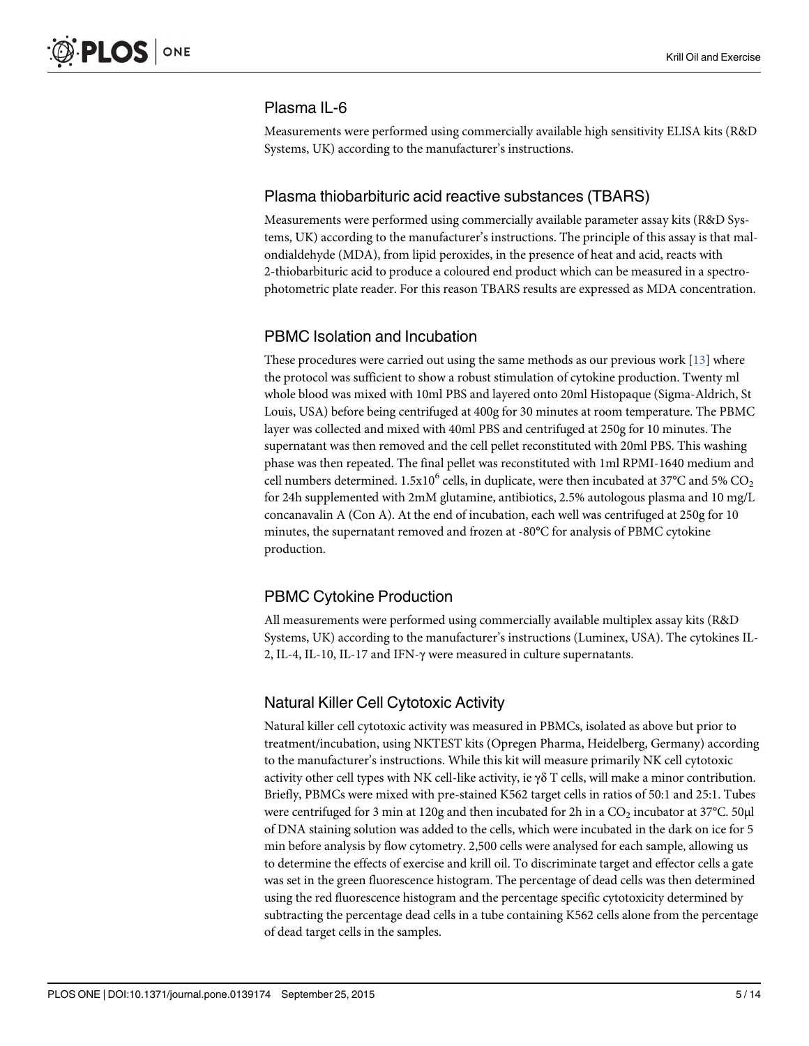# Plasma IL-6

Measurements were performed using commercially available high sensitivity ELISA kits (R&D Systems, UK) according to the manufacturer's instructions.

#### Plasma thiobarbituric acid reactive substances (TBARS)

Measurements were performed using commercially available parameter assay kits (R&D Systems, UK) according to the manufacturer's instructions. The principle of this assay is that malondialdehyde (MDA), from lipid peroxides, in the presence of heat and acid, reacts with 2-thiobarbituric acid to produce a coloured end product which can be measured in a spectrophotometric plate reader. For this reason TBARS results are expressed as MDA concentration.

#### PBMC Isolation and Incubation

These procedures were carried out using the same methods as our previous work  $[13]$  $[13]$  $[13]$  where the protocol was sufficient to show a robust stimulation of cytokine production. Twenty ml whole blood was mixed with 10ml PBS and layered onto 20ml Histopaque (Sigma-Aldrich, St Louis, USA) before being centrifuged at 400g for 30 minutes at room temperature. The PBMC layer was collected and mixed with 40ml PBS and centrifuged at 250g for 10 minutes. The supernatant was then removed and the cell pellet reconstituted with 20ml PBS. This washing phase was then repeated. The final pellet was reconstituted with 1ml RPMI-1640 medium and cell numbers determined.  $1.5x10^6$  cells, in duplicate, were then incubated at 37°C and 5% CO<sub>2</sub> for 24h supplemented with 2mM glutamine, antibiotics, 2.5% autologous plasma and 10 mg/L concanavalin A (Con A). At the end of incubation, each well was centrifuged at 250g for 10 minutes, the supernatant removed and frozen at -80°C for analysis of PBMC cytokine production.

#### PBMC Cytokine Production

All measurements were performed using commercially available multiplex assay kits (R&D Systems, UK) according to the manufacturer's instructions (Luminex, USA). The cytokines IL-2, IL-4, IL-10, IL-17 and IFN-γ were measured in culture supernatants.

# Natural Killer Cell Cytotoxic Activity

Natural killer cell cytotoxic activity was measured in PBMCs, isolated as above but prior to treatment/incubation, using NKTEST kits (Opregen Pharma, Heidelberg, Germany) according to the manufacturer's instructions. While this kit will measure primarily NK cell cytotoxic activity other cell types with NK cell-like activity, ie  $\gamma\delta$  T cells, will make a minor contribution. Briefly, PBMCs were mixed with pre-stained K562 target cells in ratios of 50:1 and 25:1. Tubes were centrifuged for 3 min at 120g and then incubated for 2h in a  $CO<sub>2</sub>$  incubator at 37°C. 50 $\mu$ l of DNA staining solution was added to the cells, which were incubated in the dark on ice for 5 min before analysis by flow cytometry. 2,500 cells were analysed for each sample, allowing us to determine the effects of exercise and krill oil. To discriminate target and effector cells a gate was set in the green fluorescence histogram. The percentage of dead cells was then determined using the red fluorescence histogram and the percentage specific cytotoxicity determined by subtracting the percentage dead cells in a tube containing K562 cells alone from the percentage of dead target cells in the samples.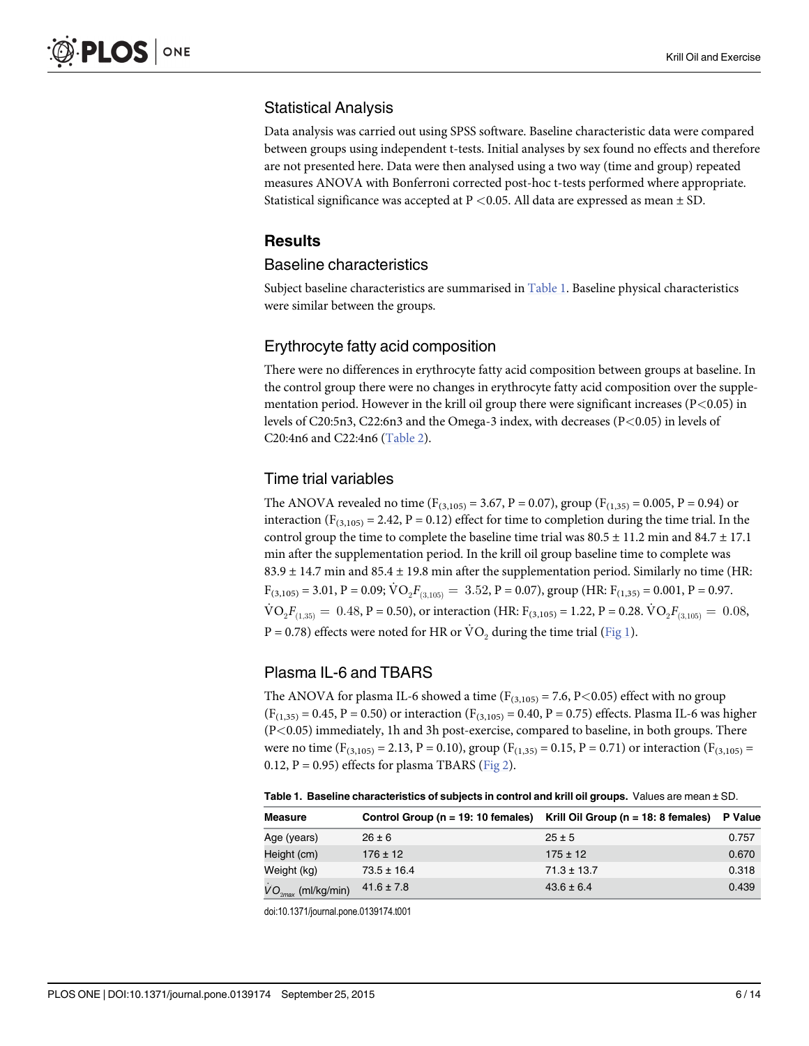# <span id="page-5-0"></span>Statistical Analysis

Data analysis was carried out using SPSS software. Baseline characteristic data were compared between groups using independent t-tests. Initial analyses by sex found no effects and therefore are not presented here. Data were then analysed using a two way (time and group) repeated measures ANOVA with Bonferroni corrected post-hoc t-tests performed where appropriate. Statistical significance was accepted at  $P < 0.05$ . All data are expressed as mean  $\pm$  SD.

### **Results**

#### Baseline characteristics

Subject baseline characteristics are summarised in Table 1. Baseline physical characteristics were similar between the groups.

#### Erythrocyte fatty acid composition

There were no differences in erythrocyte fatty acid composition between groups at baseline. In the control group there were no changes in erythrocyte fatty acid composition over the supplementation period. However in the krill oil group there were significant increases ( $P<0.05$ ) in levels of C20:5n3, C22:6n3 and the Omega-3 index, with decreases (P<0.05) in levels of C20:4n6 and C22:4n6 ([Table 2\)](#page-6-0).

# Time trial variables

The ANOVA revealed no time ( $F_{(3,105)} = 3.67$ ,  $P = 0.07$ ), group ( $F_{(1,35)} = 0.005$ ,  $P = 0.94$ ) or interaction ( $F_{(3,105)} = 2.42$ ,  $P = 0.12$ ) effect for time to completion during the time trial. In the control group the time to complete the baseline time trial was  $80.5 \pm 11.2$  min and  $84.7 \pm 17.1$ min after the supplementation period. In the krill oil group baseline time to complete was 83.9  $\pm$  14.7 min and 85.4  $\pm$  19.8 min after the supplementation period. Similarly no time (HR:  $F_{(3,105)} = 3.01$ ,  $P = 0.09$ ;  $\dot{V}O_2F_{(3,105)} = 3.52$ ,  $P = 0.07$ ), group (HR:  $F_{(1,35)} = 0.001$ ,  $P = 0.97$ .  $\text{VO}_2 F_{(1,35)} = 0.48, \text{P} = 0.50$ , or interaction (HR: F<sub>(3,105)</sub> = 1.22, P = 0.28.  $\text{VO}_2 F_{(3,105)} = 0.08$ , P = 0.78) effects were noted for HR or  $\text{VO}_2$  during the time trial ([Fig 1](#page-6-0)).

# Plasma IL-6 and TBARS

The ANOVA for plasma IL-6 showed a time  $(F_{(3,105)} = 7.6, P < 0.05)$  effect with no group  $(F<sub>(1,35)</sub> = 0.45, P = 0.50)$  or interaction  $(F<sub>(3,105)</sub> = 0.40, P = 0.75)$  effects. Plasma IL-6 was higher (P<0.05) immediately, 1h and 3h post-exercise, compared to baseline, in both groups. There were no time ( $F_{(3,105)} = 2.13$ ,  $P = 0.10$ ), group ( $F_{(1,35)} = 0.15$ ,  $P = 0.71$ ) or interaction ( $F_{(3,105)} =$ 0.12, P = 0.95) effects for plasma TBARS ( $Fig 2$ ).

Table 1. Baseline characteristics of subjects in control and krill oil groups. Values are mean ± SD.

| <b>Measure</b>          | Control Group ( $n = 19:10$ females) | Krill Oil Group ( $n = 18$ : 8 females) | P Value |
|-------------------------|--------------------------------------|-----------------------------------------|---------|
| Age (years)             | $26 \pm 6$                           | $25 \pm 5$                              | 0.757   |
| Height (cm)             | $176 \pm 12$                         | $175 \pm 12$                            | 0.670   |
| Weight (kg)             | $73.5 \pm 16.4$                      | $71.3 \pm 13.7$                         | 0.318   |
| $VO_{2max}$ (ml/kg/min) | $41.6 \pm 7.8$                       | $43.6 \pm 6.4$                          | 0.439   |

doi:10.1371/journal.pone.0139174.t001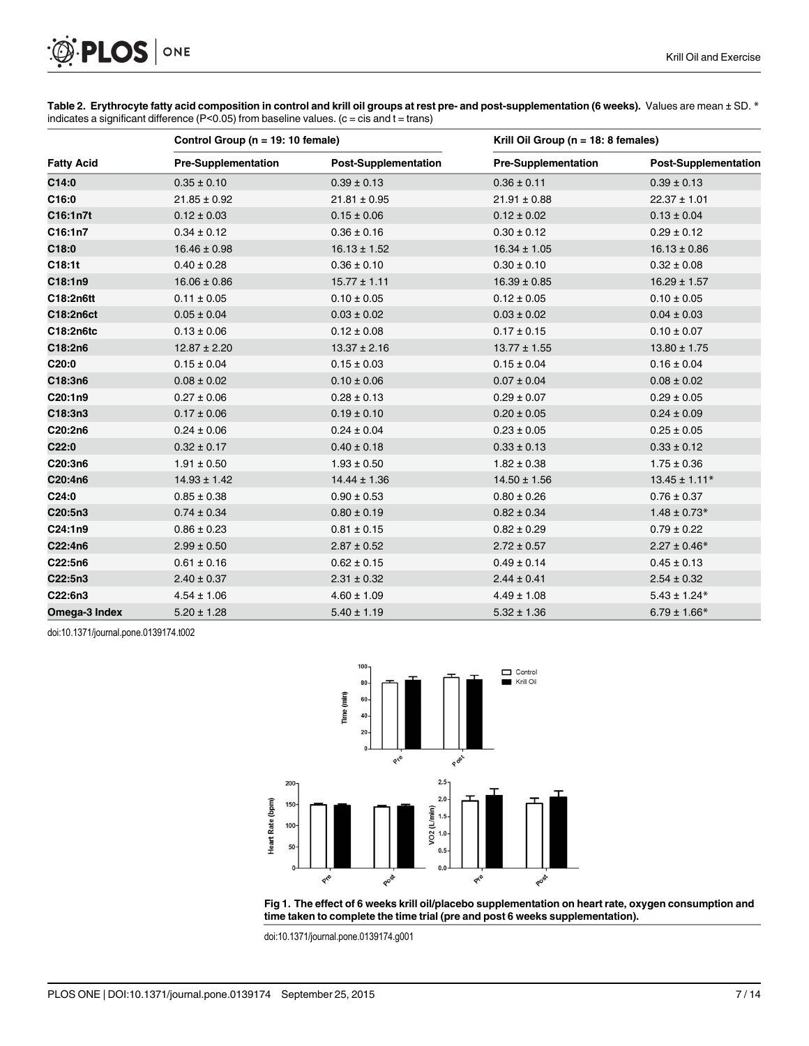<span id="page-6-0"></span>

| Table 2. Erythrocyte fatty acid composition in control and krill oil groups at rest pre- and post-supplementation (6 weeks). Values are mean ± SD. * |  |
|------------------------------------------------------------------------------------------------------------------------------------------------------|--|
| indicates a significant difference (P<0.05) from baseline values. (c = cis and t = trans)                                                            |  |

|                   |                            | Control Group (n = 19: 10 female) |                            | Krill Oil Group ( $n = 18$ : 8 females) |  |  |
|-------------------|----------------------------|-----------------------------------|----------------------------|-----------------------------------------|--|--|
| <b>Fatty Acid</b> | <b>Pre-Supplementation</b> | <b>Post-Supplementation</b>       | <b>Pre-Supplementation</b> | <b>Post-Supplementation</b>             |  |  |
| C14:0             | $0.35 \pm 0.10$            | $0.39 \pm 0.13$                   | $0.36 \pm 0.11$            | $0.39 \pm 0.13$                         |  |  |
| C16:0             | $21.85 \pm 0.92$           | $21.81 \pm 0.95$                  | $21.91 \pm 0.88$           | $22.37 \pm 1.01$                        |  |  |
| C16:1n7t          | $0.12 \pm 0.03$            | $0.15 \pm 0.06$                   | $0.12 \pm 0.02$            | $0.13 \pm 0.04$                         |  |  |
| C16:1n7           | $0.34 \pm 0.12$            | $0.36 \pm 0.16$                   | $0.30 \pm 0.12$            | $0.29 \pm 0.12$                         |  |  |
| C18:0             | $16.46 \pm 0.98$           | $16.13 \pm 1.52$                  | $16.34 \pm 1.05$           | $16.13 \pm 0.86$                        |  |  |
| C18:1t            | $0.40 \pm 0.28$            | $0.36 \pm 0.10$                   | $0.30 \pm 0.10$            | $0.32 \pm 0.08$                         |  |  |
| C18:1n9           | $16.06 \pm 0.86$           | $15.77 \pm 1.11$                  | $16.39 \pm 0.85$           | $16.29 \pm 1.57$                        |  |  |
| C18:2n6tt         | $0.11 \pm 0.05$            | $0.10 \pm 0.05$                   | $0.12 \pm 0.05$            | $0.10 \pm 0.05$                         |  |  |
| C18:2n6ct         | $0.05 \pm 0.04$            | $0.03 \pm 0.02$                   | $0.03 \pm 0.02$            | $0.04 \pm 0.03$                         |  |  |
| C18:2n6tc         | $0.13 \pm 0.06$            | $0.12 \pm 0.08$                   | $0.17 \pm 0.15$            | $0.10 \pm 0.07$                         |  |  |
| C18:2n6           | $12.87 \pm 2.20$           | $13.37 \pm 2.16$                  | $13.77 \pm 1.55$           | $13.80 \pm 1.75$                        |  |  |
| C20:0             | $0.15 \pm 0.04$            | $0.15 \pm 0.03$                   | $0.15 \pm 0.04$            | $0.16 \pm 0.04$                         |  |  |
| C18:3n6           | $0.08 \pm 0.02$            | $0.10 \pm 0.06$                   | $0.07 \pm 0.04$            | $0.08 \pm 0.02$                         |  |  |
| C20:1n9           | $0.27 \pm 0.06$            | $0.28 \pm 0.13$                   | $0.29 \pm 0.07$            | $0.29 \pm 0.05$                         |  |  |
| C18:3n3           | $0.17 \pm 0.06$            | $0.19 \pm 0.10$                   | $0.20 \pm 0.05$            | $0.24 \pm 0.09$                         |  |  |
| C20:2n6           | $0.24 \pm 0.06$            | $0.24 \pm 0.04$                   | $0.23 \pm 0.05$            | $0.25 \pm 0.05$                         |  |  |
| C22:0             | $0.32 \pm 0.17$            | $0.40 \pm 0.18$                   | $0.33 \pm 0.13$            | $0.33 \pm 0.12$                         |  |  |
| C20:3n6           | $1.91 \pm 0.50$            | $1.93 \pm 0.50$                   | $1.82 \pm 0.38$            | $1.75 \pm 0.36$                         |  |  |
| C20:4n6           | $14.93 \pm 1.42$           | $14.44 \pm 1.36$                  | $14.50 \pm 1.56$           | $13.45 \pm 1.11*$                       |  |  |
| C <sub>24:0</sub> | $0.85 \pm 0.38$            | $0.90 \pm 0.53$                   | $0.80 \pm 0.26$            | $0.76 \pm 0.37$                         |  |  |
| C20:5n3           | $0.74 \pm 0.34$            | $0.80 \pm 0.19$                   | $0.82 \pm 0.34$            | $1.48 \pm 0.73*$                        |  |  |
| C24:1n9           | $0.86 \pm 0.23$            | $0.81 \pm 0.15$                   | $0.82 \pm 0.29$            | $0.79 \pm 0.22$                         |  |  |
| C22:4n6           | $2.99 \pm 0.50$            | $2.87 \pm 0.52$                   | $2.72 \pm 0.57$            | $2.27 \pm 0.46*$                        |  |  |
| C22:5n6           | $0.61 \pm 0.16$            | $0.62 \pm 0.15$                   | $0.49 \pm 0.14$            | $0.45 \pm 0.13$                         |  |  |
| C22:5n3           | $2.40 \pm 0.37$            | $2.31 \pm 0.32$                   | $2.44 \pm 0.41$            | $2.54 \pm 0.32$                         |  |  |
| C22:6n3           | $4.54 \pm 1.06$            | $4.60 \pm 1.09$                   | $4.49 \pm 1.08$            | $5.43 \pm 1.24*$                        |  |  |
| Omega-3 Index     | $5.20 \pm 1.28$            | $5.40 \pm 1.19$                   | $5.32 \pm 1.36$            | $6.79 \pm 1.66*$                        |  |  |

doi:10.1371/journal.pone.0139174.t002





doi:10.1371/journal.pone.0139174.g001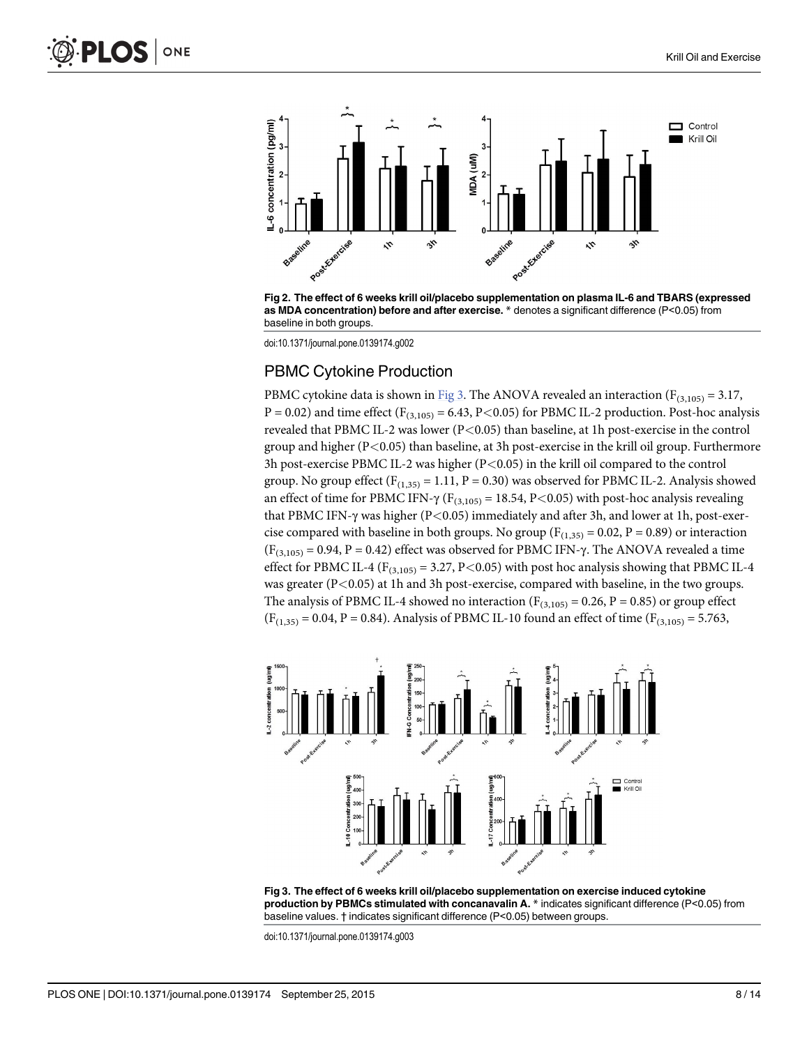<span id="page-7-0"></span>

[Fig 2. T](#page-5-0)he effect of 6 weeks krill oil/placebo supplementation on plasma IL-6 and TBARS (expressed as MDA concentration) before and after exercise. \* denotes a significant difference (P<0.05) from baseline in both groups.

doi:10.1371/journal.pone.0139174.g002

#### PBMC Cytokine Production

PBMC cytokine data is shown in Fig 3. The ANOVA revealed an interaction ( $F_{(3,105)} = 3.17$ ,  $P = 0.02$ ) and time effect ( $F_{(3,105)} = 6.43$ ,  $P < 0.05$ ) for PBMC IL-2 production. Post-hoc analysis revealed that PBMC IL-2 was lower (P<0.05) than baseline, at 1h post-exercise in the control group and higher (P<0.05) than baseline, at 3h post-exercise in the krill oil group. Furthermore 3h post-exercise PBMC IL-2 was higher (P<0.05) in the krill oil compared to the control group. No group effect  $(F_{(1,35)} = 1.11, P = 0.30)$  was observed for PBMC IL-2. Analysis showed an effect of time for PBMC IFN- $\gamma$  (F<sub>(3,105)</sub> = 18.54, P<0.05) with post-hoc analysis revealing that PBMC IFN-γ was higher (P<0.05) immediately and after 3h, and lower at 1h, post-exercise compared with baseline in both groups. No group ( $F_{(1,35)} = 0.02$ ,  $P = 0.89$ ) or interaction  $(F_{(3,105)} = 0.94, P = 0.42)$  effect was observed for PBMC IFN- $\gamma$ . The ANOVA revealed a time effect for PBMC IL-4 ( $F_{(3,105)} = 3.27$ , P<0.05) with post hoc analysis showing that PBMC IL-4 was greater (P<0.05) at 1h and 3h post-exercise, compared with baseline, in the two groups. The analysis of PBMC IL-4 showed no interaction ( $F_{(3,105)} = 0.26$ ,  $P = 0.85$ ) or group effect  $(F<sub>(1,35)</sub> = 0.04, P = 0.84)$ . Analysis of PBMC IL-10 found an effect of time  $(F<sub>(3,105)</sub> = 5.763)$ ,



Fig 3. The effect of 6 weeks krill oil/placebo supplementation on exercise induced cytokine production by PBMCs stimulated with concanavalin A. \* indicates significant difference (P<0.05) from baseline values. † indicates significant difference (P<0.05) between groups.

doi:10.1371/journal.pone.0139174.g003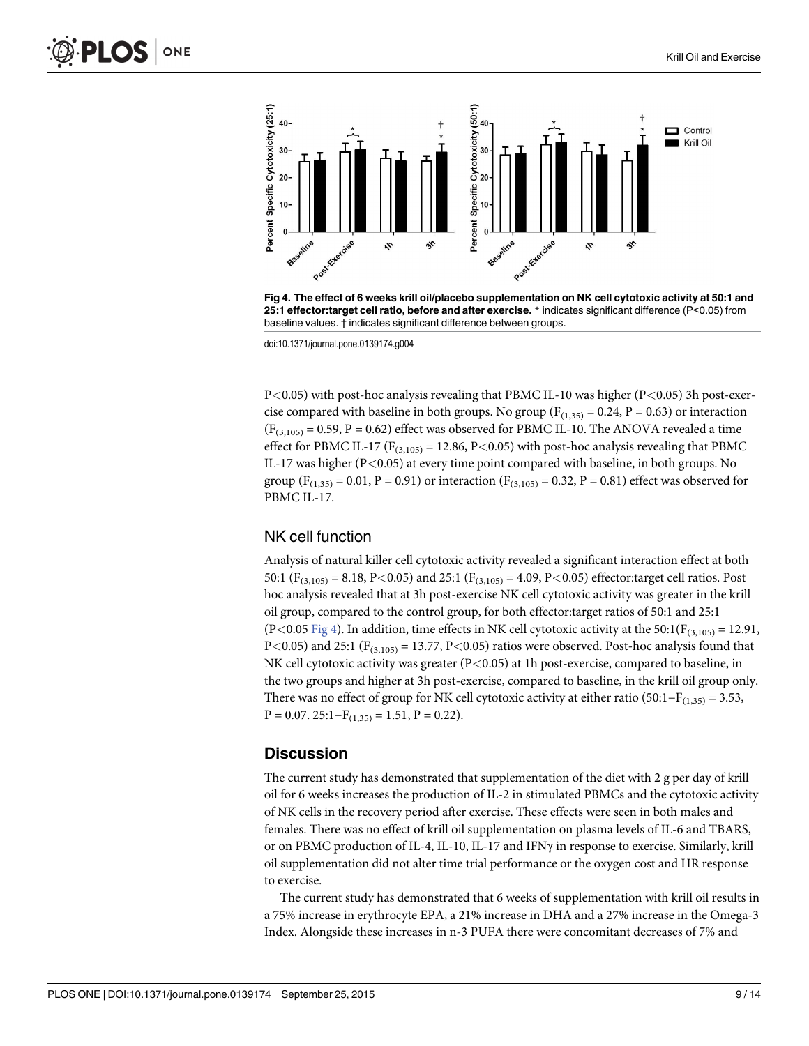

Fig 4. The effect of 6 weeks krill oil/placebo supplementation on NK cell cytotoxic activity at 50:1 and 25:1 effector:target cell ratio, before and after exercise. \* indicates significant difference (P<0.05) from baseline values. † indicates significant difference between groups.

doi:10.1371/journal.pone.0139174.g004

 $P<0.05$ ) with post-hoc analysis revealing that PBMC IL-10 was higher (P $<$ 0.05) 3h post-exercise compared with baseline in both groups. No group ( $F_{(1,35)} = 0.24$ ,  $P = 0.63$ ) or interaction  $(F_{(3,105)} = 0.59, P = 0.62)$  effect was observed for PBMC IL-10. The ANOVA revealed a time effect for PBMC IL-17 ( $F_{(3,105)}$  = 12.86, P<0.05) with post-hoc analysis revealing that PBMC IL-17 was higher (P<0.05) at every time point compared with baseline, in both groups. No group ( $F_{(1,35)} = 0.01$ ,  $P = 0.91$ ) or interaction ( $F_{(3,105)} = 0.32$ ,  $P = 0.81$ ) effect was observed for PBMC IL-17.

#### NK cell function

Analysis of natural killer cell cytotoxic activity revealed a significant interaction effect at both 50:1 ( $F_{(3,105)} = 8.18$ , P<0.05) and 25:1 ( $F_{(3,105)} = 4.09$ , P<0.05) effector:target cell ratios. Post hoc analysis revealed that at 3h post-exercise NK cell cytotoxic activity was greater in the krill oil group, compared to the control group, for both effector:target ratios of 50:1 and 25:1 (P<0.05 Fig 4). In addition, time effects in NK cell cytotoxic activity at the 50:1( $F_{(3,105)} = 12.91$ , P<0.05) and 25:1 ( $F_{(3,105)}$  = 13.77, P<0.05) ratios were observed. Post-hoc analysis found that NK cell cytotoxic activity was greater (P<0.05) at 1h post-exercise, compared to baseline, in the two groups and higher at 3h post-exercise, compared to baseline, in the krill oil group only. There was no effect of group for NK cell cytotoxic activity at either ratio (50:1–F<sub>(1,35)</sub> = 3.53,  $P = 0.07$ . 25:1– $F_{(1,35)} = 1.51$ ,  $P = 0.22$ ).

## **Discussion**

The current study has demonstrated that supplementation of the diet with 2 g per day of krill oil for 6 weeks increases the production of IL-2 in stimulated PBMCs and the cytotoxic activity of NK cells in the recovery period after exercise. These effects were seen in both males and females. There was no effect of krill oil supplementation on plasma levels of IL-6 and TBARS, or on PBMC production of IL-4, IL-10, IL-17 and IFNγ in response to exercise. Similarly, krill oil supplementation did not alter time trial performance or the oxygen cost and HR response to exercise.

The current study has demonstrated that 6 weeks of supplementation with krill oil results in a 75% increase in erythrocyte EPA, a 21% increase in DHA and a 27% increase in the Omega-3 Index. Alongside these increases in n-3 PUFA there were concomitant decreases of 7% and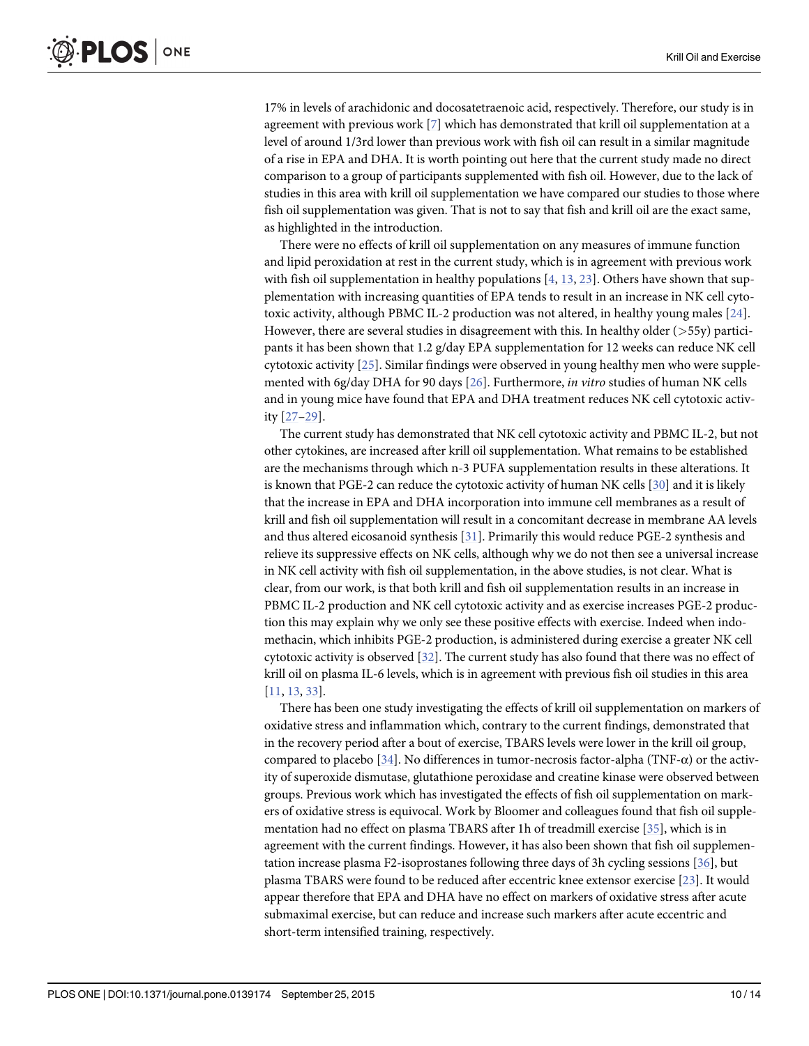<span id="page-9-0"></span>17% in levels of arachidonic and docosatetraenoic acid, respectively. Therefore, our study is in agreement with previous work [\[7\]](#page-11-0) which has demonstrated that krill oil supplementation at a level of around 1/3rd lower than previous work with fish oil can result in a similar magnitude of a rise in EPA and DHA. It is worth pointing out here that the current study made no direct comparison to a group of participants supplemented with fish oil. However, due to the lack of studies in this area with krill oil supplementation we have compared our studies to those where fish oil supplementation was given. That is not to say that fish and krill oil are the exact same, as highlighted in the introduction.

There were no effects of krill oil supplementation on any measures of immune function and lipid peroxidation at rest in the current study, which is in agreement with previous work with fish oil supplementation in healthy populations  $[4, 13, 23]$  $[4, 13, 23]$  $[4, 13, 23]$  $[4, 13, 23]$  $[4, 13, 23]$  $[4, 13, 23]$ . Others have shown that supplementation with increasing quantities of EPA tends to result in an increase in NK cell cytotoxic activity, although PBMC IL-2 production was not altered, in healthy young males [[24](#page-12-0)]. However, there are several studies in disagreement with this. In healthy older ( $>55y$ ) participants it has been shown that 1.2 g/day EPA supplementation for 12 weeks can reduce NK cell cytotoxic activity [[25\]](#page-12-0). Similar findings were observed in young healthy men who were supplemented with 6g/day DHA for 90 days [[26](#page-12-0)]. Furthermore, in vitro studies of human NK cells and in young mice have found that EPA and DHA treatment reduces NK cell cytotoxic activity [[27](#page-12-0)–[29\]](#page-12-0).

The current study has demonstrated that NK cell cytotoxic activity and PBMC IL-2, but not other cytokines, are increased after krill oil supplementation. What remains to be established are the mechanisms through which n-3 PUFA supplementation results in these alterations. It is known that PGE-2 can reduce the cytotoxic activity of human NK cells [\[30\]](#page-12-0) and it is likely that the increase in EPA and DHA incorporation into immune cell membranes as a result of krill and fish oil supplementation will result in a concomitant decrease in membrane AA levels and thus altered eicosanoid synthesis [\[31\]](#page-12-0). Primarily this would reduce PGE-2 synthesis and relieve its suppressive effects on NK cells, although why we do not then see a universal increase in NK cell activity with fish oil supplementation, in the above studies, is not clear. What is clear, from our work, is that both krill and fish oil supplementation results in an increase in PBMC IL-2 production and NK cell cytotoxic activity and as exercise increases PGE-2 production this may explain why we only see these positive effects with exercise. Indeed when indomethacin, which inhibits PGE-2 production, is administered during exercise a greater NK cell cytotoxic activity is observed [\[32\]](#page-12-0). The current study has also found that there was no effect of krill oil on plasma IL-6 levels, which is in agreement with previous fish oil studies in this area [\[11](#page-11-0), [13,](#page-11-0) [33\]](#page-12-0).

There has been one study investigating the effects of krill oil supplementation on markers of oxidative stress and inflammation which, contrary to the current findings, demonstrated that in the recovery period after a bout of exercise, TBARS levels were lower in the krill oil group, compared to placebo [\[34](#page-13-0)]. No differences in tumor-necrosis factor-alpha (TNF-α) or the activity of superoxide dismutase, glutathione peroxidase and creatine kinase were observed between groups. Previous work which has investigated the effects of fish oil supplementation on markers of oxidative stress is equivocal. Work by Bloomer and colleagues found that fish oil supplementation had no effect on plasma TBARS after 1h of treadmill exercise [[35](#page-13-0)], which is in agreement with the current findings. However, it has also been shown that fish oil supplementation increase plasma F2-isoprostanes following three days of 3h cycling sessions [[36\]](#page-13-0), but plasma TBARS were found to be reduced after eccentric knee extensor exercise [[23](#page-12-0)]. It would appear therefore that EPA and DHA have no effect on markers of oxidative stress after acute submaximal exercise, but can reduce and increase such markers after acute eccentric and short-term intensified training, respectively.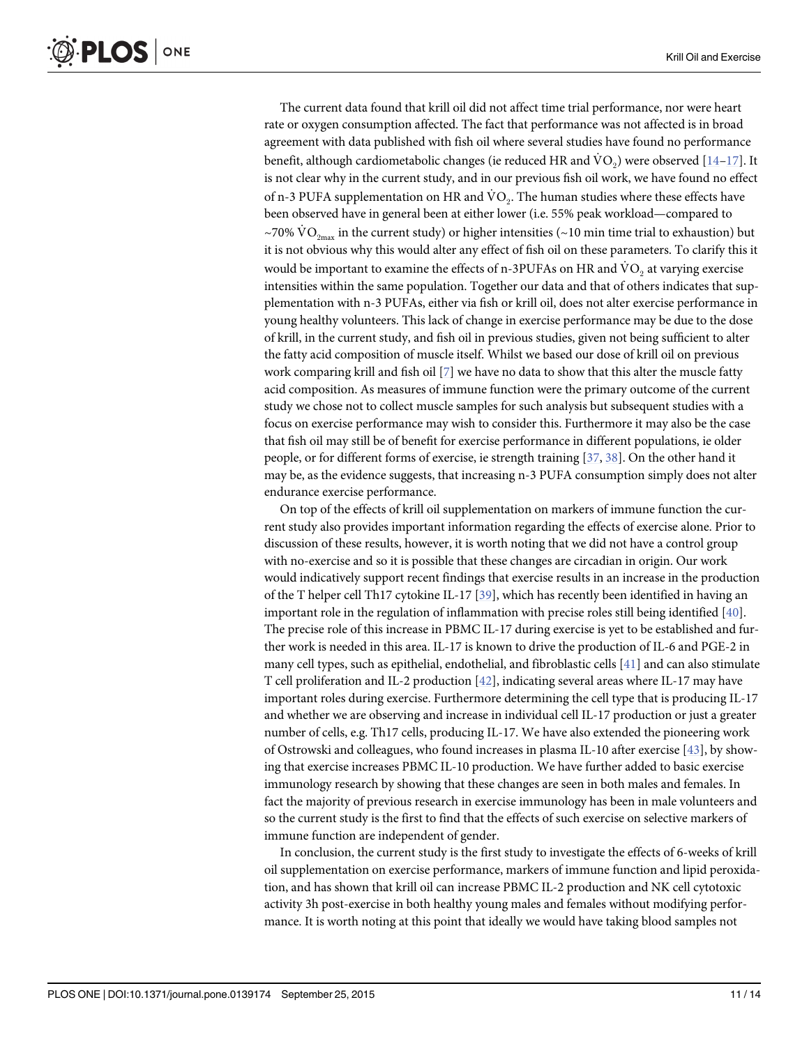<span id="page-10-0"></span>The current data found that krill oil did not affect time trial performance, nor were heart rate or oxygen consumption affected. The fact that performance was not affected is in broad agreement with data published with fish oil where several studies have found no performance benefit, although cardiometabolic changes (ie reduced HR and  $VO_2$ ) were observed [\[14](#page-12-0)–[17](#page-12-0)]. It is not clear why in the current study, and in our previous fish oil work, we have found no effect of n-3 PUFA supplementation on HR and  $\dot{V}O<sub>2</sub>$ . The human studies where these effects have been observed have in general been at either lower (i.e. 55% peak workload—compared to ~70%  $\text{VO}_{2\text{max}}$  in the current study) or higher intensities (~10 min time trial to exhaustion) but it is not obvious why this would alter any effect of fish oil on these parameters. To clarify this it would be important to examine the effects of n-3PUFAs on HR and  $\dot{V}O_2$  at varying exercise intensities within the same population. Together our data and that of others indicates that supplementation with n-3 PUFAs, either via fish or krill oil, does not alter exercise performance in young healthy volunteers. This lack of change in exercise performance may be due to the dose of krill, in the current study, and fish oil in previous studies, given not being sufficient to alter the fatty acid composition of muscle itself. Whilst we based our dose of krill oil on previous work comparing krill and fish oil [[7](#page-11-0)] we have no data to show that this alter the muscle fatty acid composition. As measures of immune function were the primary outcome of the current study we chose not to collect muscle samples for such analysis but subsequent studies with a focus on exercise performance may wish to consider this. Furthermore it may also be the case that fish oil may still be of benefit for exercise performance in different populations, ie older people, or for different forms of exercise, ie strength training [\[37,](#page-13-0) [38\]](#page-13-0). On the other hand it may be, as the evidence suggests, that increasing n-3 PUFA consumption simply does not alter endurance exercise performance.

On top of the effects of krill oil supplementation on markers of immune function the current study also provides important information regarding the effects of exercise alone. Prior to discussion of these results, however, it is worth noting that we did not have a control group with no-exercise and so it is possible that these changes are circadian in origin. Our work would indicatively support recent findings that exercise results in an increase in the production of the T helper cell Th17 cytokine IL-17 [[39](#page-13-0)], which has recently been identified in having an important role in the regulation of inflammation with precise roles still being identified  $[40]$  $[40]$  $[40]$ . The precise role of this increase in PBMC IL-17 during exercise is yet to be established and further work is needed in this area. IL-17 is known to drive the production of IL-6 and PGE-2 in many cell types, such as epithelial, endothelial, and fibroblastic cells [\[41\]](#page-13-0) and can also stimulate T cell proliferation and IL-2 production [[42](#page-13-0)], indicating several areas where IL-17 may have important roles during exercise. Furthermore determining the cell type that is producing IL-17 and whether we are observing and increase in individual cell IL-17 production or just a greater number of cells, e.g. Th17 cells, producing IL-17. We have also extended the pioneering work of Ostrowski and colleagues, who found increases in plasma IL-10 after exercise [\[43\]](#page-13-0), by showing that exercise increases PBMC IL-10 production. We have further added to basic exercise immunology research by showing that these changes are seen in both males and females. In fact the majority of previous research in exercise immunology has been in male volunteers and so the current study is the first to find that the effects of such exercise on selective markers of immune function are independent of gender.

In conclusion, the current study is the first study to investigate the effects of 6-weeks of krill oil supplementation on exercise performance, markers of immune function and lipid peroxidation, and has shown that krill oil can increase PBMC IL-2 production and NK cell cytotoxic activity 3h post-exercise in both healthy young males and females without modifying performance. It is worth noting at this point that ideally we would have taking blood samples not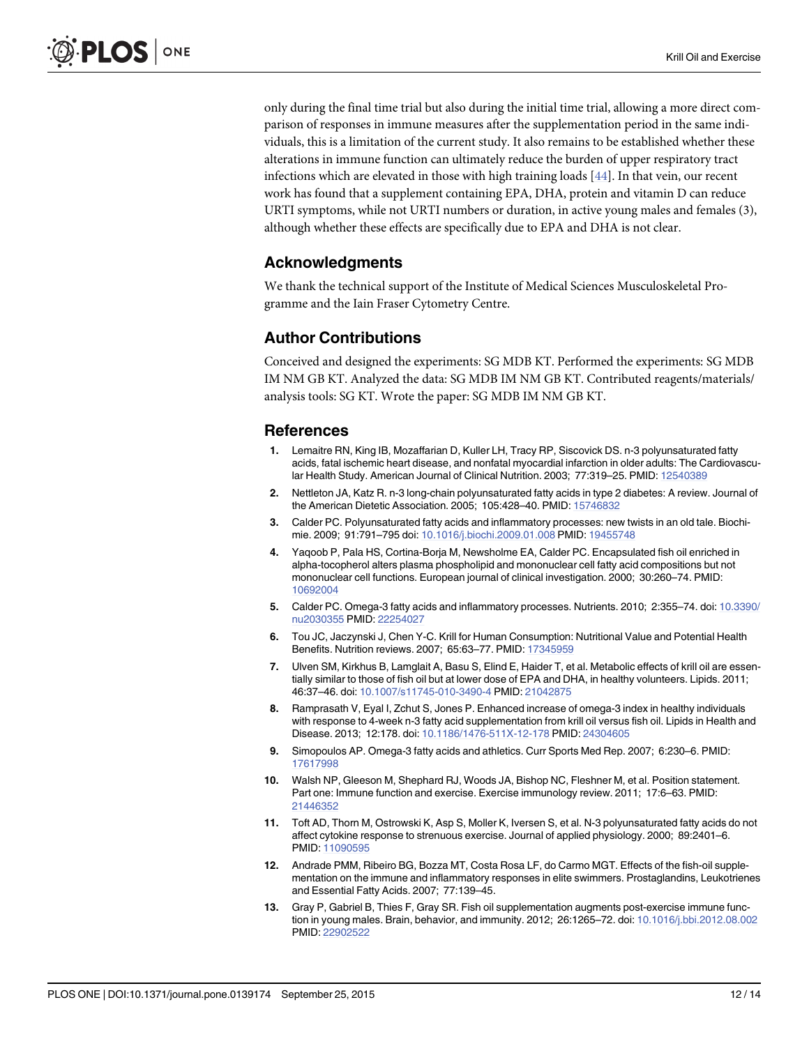<span id="page-11-0"></span>only during the final time trial but also during the initial time trial, allowing a more direct comparison of responses in immune measures after the supplementation period in the same individuals, this is a limitation of the current study. It also remains to be established whether these alterations in immune function can ultimately reduce the burden of upper respiratory tract infections which are elevated in those with high training loads [\[44\]](#page-13-0). In that vein, our recent work has found that a supplement containing EPA, DHA, protein and vitamin D can reduce URTI symptoms, while not URTI numbers or duration, in active young males and females (3), although whether these effects are specifically due to EPA and DHA is not clear.

#### Acknowledgments

We thank the technical support of the Institute of Medical Sciences Musculoskeletal Programme and the Iain Fraser Cytometry Centre.

# Author Contributions

Conceived and designed the experiments: SG MDB KT. Performed the experiments: SG MDB IM NM GB KT. Analyzed the data: SG MDB IM NM GB KT. Contributed reagents/materials/ analysis tools: SG KT. Wrote the paper: SG MDB IM NM GB KT.

#### References

- [1.](#page-1-0) Lemaitre RN, King IB, Mozaffarian D, Kuller LH, Tracy RP, Siscovick DS. n-3 polyunsaturated fatty acids, fatal ischemic heart disease, and nonfatal myocardial infarction in older adults: The Cardiovascular Health Study. American Journal of Clinical Nutrition. 2003; 77:319–25. PMID: [12540389](http://www.ncbi.nlm.nih.gov/pubmed/12540389)
- [2.](#page-1-0) Nettleton JA, Katz R. n-3 long-chain polyunsaturated fatty acids in type 2 diabetes: A review. Journal of the American Dietetic Association. 2005; 105:428–40. PMID: [15746832](http://www.ncbi.nlm.nih.gov/pubmed/15746832)
- [3.](#page-1-0) Calder PC. Polyunsaturated fatty acids and inflammatory processes: new twists in an old tale. Biochimie. 2009; 91:791–795 doi: [10.1016/j.biochi.2009.01.008](http://dx.doi.org/10.1016/j.biochi.2009.01.008) PMID: [19455748](http://www.ncbi.nlm.nih.gov/pubmed/19455748)
- [4.](#page-1-0) Yaqoob P, Pala HS, Cortina-Borja M, Newsholme EA, Calder PC. Encapsulated fish oil enriched in alpha-tocopherol alters plasma phospholipid and mononuclear cell fatty acid compositions but not mononuclear cell functions. European journal of clinical investigation. 2000; 30:260–74. PMID: [10692004](http://www.ncbi.nlm.nih.gov/pubmed/10692004)
- [5.](#page-1-0) Calder PC. Omega-3 fatty acids and inflammatory processes. Nutrients. 2010; 2:355-74. doi: [10.3390/](http://dx.doi.org/10.3390/nu2030355) [nu2030355](http://dx.doi.org/10.3390/nu2030355) PMID: [22254027](http://www.ncbi.nlm.nih.gov/pubmed/22254027)
- [6.](#page-1-0) Tou JC, Jaczynski J, Chen Y-C. Krill for Human Consumption: Nutritional Value and Potential Health Benefits. Nutrition reviews. 2007; 65:63–77. PMID: [17345959](http://www.ncbi.nlm.nih.gov/pubmed/17345959)
- [7.](#page-1-0) Ulven SM, Kirkhus B, Lamglait A, Basu S, Elind E, Haider T, et al. Metabolic effects of krill oil are essentially similar to those of fish oil but at lower dose of EPA and DHA, in healthy volunteers. Lipids. 2011; 46:37–46. doi: [10.1007/s11745-010-3490-4](http://dx.doi.org/10.1007/s11745-010-3490-4) PMID: [21042875](http://www.ncbi.nlm.nih.gov/pubmed/21042875)
- [8.](#page-1-0) Ramprasath V, Eyal I, Zchut S, Jones P. Enhanced increase of omega-3 index in healthy individuals with response to 4-week n-3 fatty acid supplementation from krill oil versus fish oil. Lipids in Health and Disease. 2013; 12:178. doi: [10.1186/1476-511X-12-178](http://dx.doi.org/10.1186/1476-511X-12-178) PMID: [24304605](http://www.ncbi.nlm.nih.gov/pubmed/24304605)
- [9.](#page-1-0) Simopoulos AP. Omega-3 fatty acids and athletics. Curr Sports Med Rep. 2007; 6:230–6. PMID: [17617998](http://www.ncbi.nlm.nih.gov/pubmed/17617998)
- [10.](#page-1-0) Walsh NP, Gleeson M, Shephard RJ, Woods JA, Bishop NC, Fleshner M, et al. Position statement. Part one: Immune function and exercise. Exercise immunology review. 2011; 17:6–63. PMID: [21446352](http://www.ncbi.nlm.nih.gov/pubmed/21446352)
- [11.](#page-1-0) Toft AD, Thorn M, Ostrowski K, Asp S, Moller K, Iversen S, et al. N-3 polyunsaturated fatty acids do not affect cytokine response to strenuous exercise. Journal of applied physiology. 2000; 89:2401–6. PMID: [11090595](http://www.ncbi.nlm.nih.gov/pubmed/11090595)
- [12.](#page-1-0) Andrade PMM, Ribeiro BG, Bozza MT, Costa Rosa LF, do Carmo MGT. Effects of the fish-oil supplementation on the immune and inflammatory responses in elite swimmers. Prostaglandins, Leukotrienes and Essential Fatty Acids. 2007; 77:139–45.
- [13.](#page-1-0) Gray P, Gabriel B, Thies F, Gray SR. Fish oil supplementation augments post-exercise immune function in young males. Brain, behavior, and immunity. 2012; 26:1265–72. doi: [10.1016/j.bbi.2012.08.002](http://dx.doi.org/10.1016/j.bbi.2012.08.002) PMID: [22902522](http://www.ncbi.nlm.nih.gov/pubmed/22902522)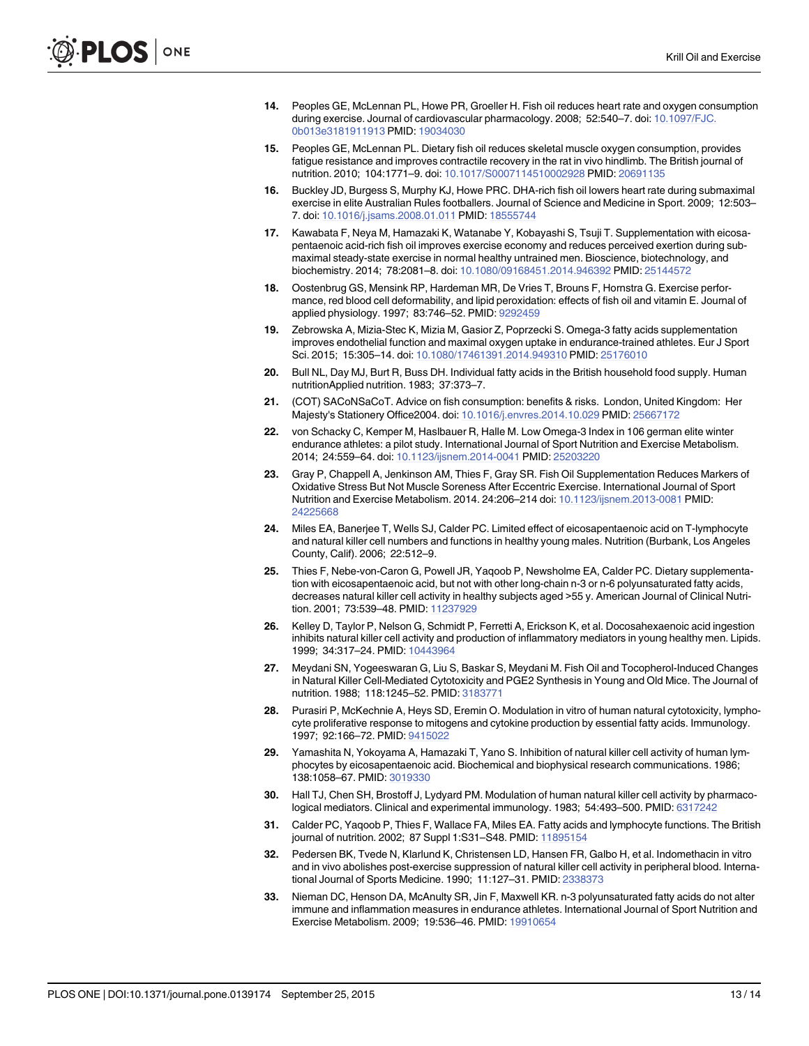- <span id="page-12-0"></span>[14.](#page-2-0) Peoples GE, McLennan PL, Howe PR, Groeller H. Fish oil reduces heart rate and oxygen consumption during exercise. Journal of cardiovascular pharmacology. 2008; 52:540–7. doi: [10.1097/FJC.](http://dx.doi.org/10.1097/FJC.0b013e3181911913) [0b013e3181911913](http://dx.doi.org/10.1097/FJC.0b013e3181911913) PMID: [19034030](http://www.ncbi.nlm.nih.gov/pubmed/19034030)
- 15. Peoples GE, McLennan PL. Dietary fish oil reduces skeletal muscle oxygen consumption, provides fatigue resistance and improves contractile recovery in the rat in vivo hindlimb. The British journal of nutrition. 2010; 104:1771–9. doi: [10.1017/S0007114510002928](http://dx.doi.org/10.1017/S0007114510002928) PMID: [20691135](http://www.ncbi.nlm.nih.gov/pubmed/20691135)
- [16.](#page-2-0) Buckley JD, Burgess S, Murphy KJ, Howe PRC. DHA-rich fish oil lowers heart rate during submaximal exercise in elite Australian Rules footballers. Journal of Science and Medicine in Sport. 2009; 12:503– 7. doi: [10.1016/j.jsams.2008.01.011](http://dx.doi.org/10.1016/j.jsams.2008.01.011) PMID: [18555744](http://www.ncbi.nlm.nih.gov/pubmed/18555744)
- [17.](#page-2-0) Kawabata F, Neya M, Hamazaki K, Watanabe Y, Kobayashi S, Tsuji T. Supplementation with eicosapentaenoic acid-rich fish oil improves exercise economy and reduces perceived exertion during submaximal steady-state exercise in normal healthy untrained men. Bioscience, biotechnology, and biochemistry. 2014; 78:2081–8. doi: [10.1080/09168451.2014.946392](http://dx.doi.org/10.1080/09168451.2014.946392) PMID: [25144572](http://www.ncbi.nlm.nih.gov/pubmed/25144572)
- [18.](#page-2-0) Oostenbrug GS, Mensink RP, Hardeman MR, De Vries T, Brouns F, Hornstra G. Exercise performance, red blood cell deformability, and lipid peroxidation: effects of fish oil and vitamin E. Journal of applied physiology. 1997; 83:746–52. PMID: [9292459](http://www.ncbi.nlm.nih.gov/pubmed/9292459)
- [19.](#page-2-0) Zebrowska A, Mizia-Stec K, Mizia M, Gasior Z, Poprzecki S. Omega-3 fatty acids supplementation improves endothelial function and maximal oxygen uptake in endurance-trained athletes. Eur J Sport Sci. 2015; 15:305–14. doi: [10.1080/17461391.2014.949310](http://dx.doi.org/10.1080/17461391.2014.949310) PMID: [25176010](http://www.ncbi.nlm.nih.gov/pubmed/25176010)
- [20.](#page-2-0) Bull NL, Day MJ, Burt R, Buss DH. Individual fatty acids in the British household food supply. Human nutritionApplied nutrition. 1983; 37:373–7.
- [21.](#page-2-0) (COT) SACoNSaCoT. Advice on fish consumption: benefits & risks. London, United Kingdom: Her Majesty's Stationery Office2004. doi: [10.1016/j.envres.2014.10.029](http://dx.doi.org/10.1016/j.envres.2014.10.029) PMID: [25667172](http://www.ncbi.nlm.nih.gov/pubmed/25667172)
- [22.](#page-3-0) von Schacky C, Kemper M, Haslbauer R, Halle M. Low Omega-3 Index in 106 german elite winter endurance athletes: a pilot study. International Journal of Sport Nutrition and Exercise Metabolism. 2014; 24:559–64. doi: [10.1123/ijsnem.2014-0041](http://dx.doi.org/10.1123/ijsnem.2014-0041) PMID: [25203220](http://www.ncbi.nlm.nih.gov/pubmed/25203220)
- [23.](#page-9-0) Gray P, Chappell A, Jenkinson AM, Thies F, Gray SR. Fish Oil Supplementation Reduces Markers of Oxidative Stress But Not Muscle Soreness After Eccentric Exercise. International Journal of Sport Nutrition and Exercise Metabolism. 2014. 24:206–214 doi: [10.1123/ijsnem.2013-0081](http://dx.doi.org/10.1123/ijsnem.2013-0081) PMID: [24225668](http://www.ncbi.nlm.nih.gov/pubmed/24225668)
- [24.](#page-9-0) Miles EA, Banerjee T, Wells SJ, Calder PC. Limited effect of eicosapentaenoic acid on T-lymphocyte and natural killer cell numbers and functions in healthy young males. Nutrition (Burbank, Los Angeles County, Calif). 2006; 22:512–9.
- [25.](#page-9-0) Thies F, Nebe-von-Caron G, Powell JR, Yaqoob P, Newsholme EA, Calder PC. Dietary supplementation with eicosapentaenoic acid, but not with other long-chain n-3 or n-6 polyunsaturated fatty acids, decreases natural killer cell activity in healthy subjects aged >55 y. American Journal of Clinical Nutri-tion. 2001; 73:539-48. PMID: [11237929](http://www.ncbi.nlm.nih.gov/pubmed/11237929)
- [26.](#page-9-0) Kelley D, Taylor P, Nelson G, Schmidt P, Ferretti A, Erickson K, et al. Docosahexaenoic acid ingestion inhibits natural killer cell activity and production of inflammatory mediators in young healthy men. Lipids. 1999; 34:317–24. PMID: [10443964](http://www.ncbi.nlm.nih.gov/pubmed/10443964)
- [27.](#page-9-0) Meydani SN, Yogeeswaran G, Liu S, Baskar S, Meydani M. Fish Oil and Tocopherol-Induced Changes in Natural Killer Cell-Mediated Cytotoxicity and PGE2 Synthesis in Young and Old Mice. The Journal of nutrition. 1988; 118:1245–52. PMID: [3183771](http://www.ncbi.nlm.nih.gov/pubmed/3183771)
- 28. Purasiri P, McKechnie A, Heys SD, Eremin O. Modulation in vitro of human natural cytotoxicity, lymphocyte proliferative response to mitogens and cytokine production by essential fatty acids. Immunology. 1997; 92:166–72. PMID: [9415022](http://www.ncbi.nlm.nih.gov/pubmed/9415022)
- [29.](#page-9-0) Yamashita N, Yokoyama A, Hamazaki T, Yano S. Inhibition of natural killer cell activity of human lymphocytes by eicosapentaenoic acid. Biochemical and biophysical research communications. 1986; 138:1058–67. PMID: [3019330](http://www.ncbi.nlm.nih.gov/pubmed/3019330)
- [30.](#page-9-0) Hall TJ, Chen SH, Brostoff J, Lydyard PM. Modulation of human natural killer cell activity by pharmacological mediators. Clinical and experimental immunology. 1983; 54:493–500. PMID: [6317242](http://www.ncbi.nlm.nih.gov/pubmed/6317242)
- [31.](#page-9-0) Calder PC, Yaqoob P, Thies F, Wallace FA, Miles EA. Fatty acids and lymphocyte functions. The British journal of nutrition. 2002; 87 Suppl 1:S31–S48. PMID: [11895154](http://www.ncbi.nlm.nih.gov/pubmed/11895154)
- [32.](#page-9-0) Pedersen BK, Tvede N, Klarlund K, Christensen LD, Hansen FR, Galbo H, et al. Indomethacin in vitro and in vivo abolishes post-exercise suppression of natural killer cell activity in peripheral blood. International Journal of Sports Medicine. 1990; 11:127–31. PMID: [2338373](http://www.ncbi.nlm.nih.gov/pubmed/2338373)
- [33.](#page-9-0) Nieman DC, Henson DA, McAnulty SR, Jin F, Maxwell KR. n-3 polyunsaturated fatty acids do not alter immune and inflammation measures in endurance athletes. International Journal of Sport Nutrition and Exercise Metabolism. 2009; 19:536–46. PMID: [19910654](http://www.ncbi.nlm.nih.gov/pubmed/19910654)